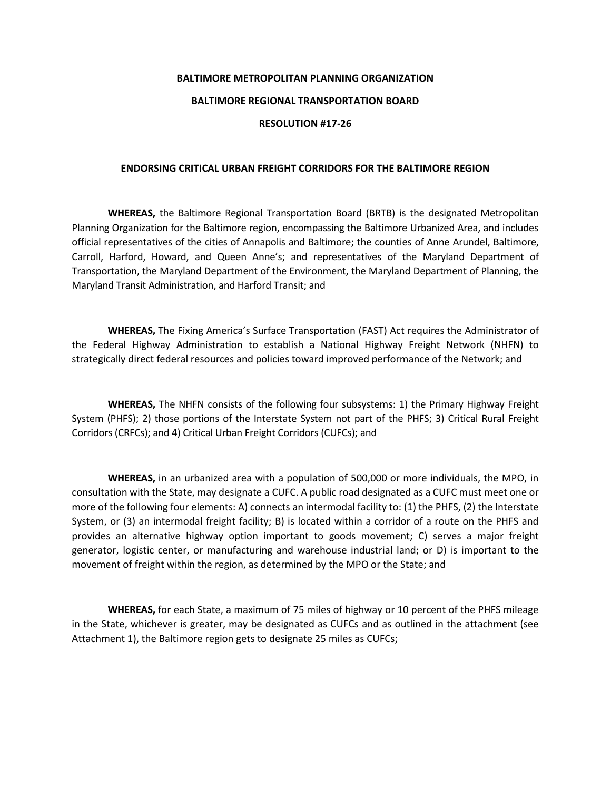## **BALTIMORE METROPOLITAN PLANNING ORGANIZATION BALTIMORE REGIONAL TRANSPORTATION BOARD RESOLUTION #17-26**

## **ENDORSING CRITICAL URBAN FREIGHT CORRIDORS FOR THE BALTIMORE REGION**

**WHEREAS,** the Baltimore Regional Transportation Board (BRTB) is the designated Metropolitan Planning Organization for the Baltimore region, encompassing the Baltimore Urbanized Area, and includes official representatives of the cities of Annapolis and Baltimore; the counties of Anne Arundel, Baltimore, Carroll, Harford, Howard, and Queen Anne's; and representatives of the Maryland Department of Transportation, the Maryland Department of the Environment, the Maryland Department of Planning, the Maryland Transit Administration, and Harford Transit; and

**WHEREAS,** The Fixing America's Surface Transportation (FAST) Act requires the Administrator of the Federal Highway Administration to establish a National Highway Freight Network (NHFN) to strategically direct federal resources and policies toward improved performance of the Network; and

**WHEREAS,** The NHFN consists of the following four subsystems: 1) the Primary Highway Freight System (PHFS); 2) those portions of the Interstate System not part of the PHFS; 3) Critical Rural Freight Corridors (CRFCs); and 4) Critical Urban Freight Corridors (CUFCs); and

**WHEREAS,** in an urbanized area with a population of 500,000 or more individuals, the MPO, in consultation with the State, may designate a CUFC. A public road designated as a CUFC must meet one or more of the following four elements: A) connects an intermodal facility to: (1) the PHFS, (2) the Interstate System, or (3) an intermodal freight facility; B) is located within a corridor of a route on the PHFS and provides an alternative highway option important to goods movement; C) serves a major freight generator, logistic center, or manufacturing and warehouse industrial land; or D) is important to the movement of freight within the region, as determined by the MPO or the State; and

**WHEREAS,** for each State, a maximum of 75 miles of highway or 10 percent of the PHFS mileage in the State, whichever is greater, may be designated as CUFCs and as outlined in the attachment (see Attachment 1), the Baltimore region gets to designate 25 miles as CUFCs;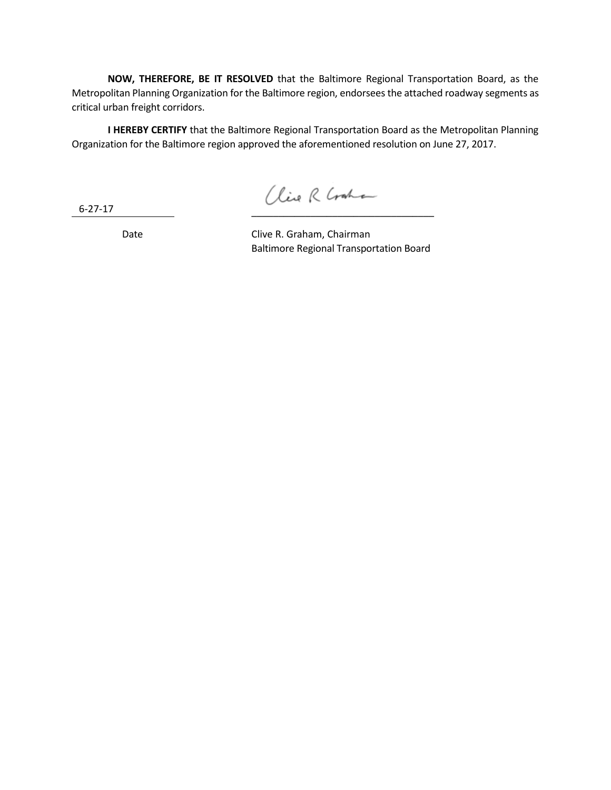**NOW, THEREFORE, BE IT RESOLVED** that the Baltimore Regional Transportation Board, as the Metropolitan Planning Organization for the Baltimore region, endorsees the attached roadway segments as critical urban freight corridors.

**I HEREBY CERTIFY** that the Baltimore Regional Transportation Board as the Metropolitan Planning Organization for the Baltimore region approved the aforementioned resolution on June 27, 2017.

6-27-17

Clive R Craha \_\_\_\_\_\_\_\_\_\_\_\_\_\_\_\_\_\_\_\_\_\_\_\_\_\_\_\_\_\_\_\_\_\_

Date Clive R. Graham, Chairman Baltimore Regional Transportation Board